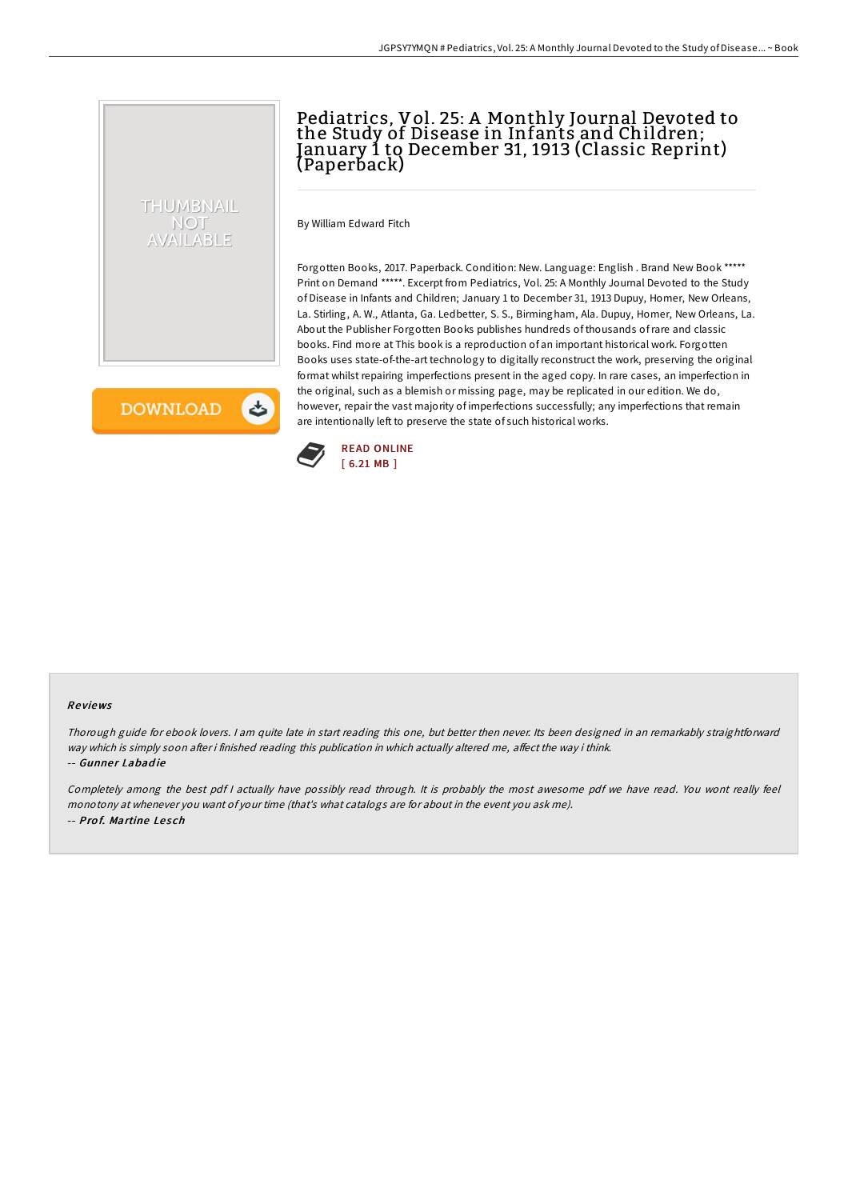## Pediatrics, Vol. 25: A Monthly Journal Devoted to the Study of Disease in Infants and Children; January 1 to December 31, 1913 (Classic Reprint) (Paperback)

By William Edward Fitch

Forgotten Books, 2017. Paperback. Condition: New. Language: English . Brand New Book \*\*\*\*\* Print on Demand \*\*\*\*\*. Excerpt from Pediatrics, Vol. 25: A Monthly Journal Devoted to the Study of Disease in Infants and Children; January 1 to December 31, 1913 Dupuy, Homer, New Orleans, La. Stirling, A. W., Atlanta, Ga. Ledbetter, S. S., Birmingham, Ala. Dupuy, Homer, New Orleans, La. About the Publisher Forgotten Books publishes hundreds of thousands ofrare and classic books. Find more at This book is a reproduction of an important historical work. Forgotten Books uses state-of-the-art technology to digitally reconstruct the work, preserving the original format whilst repairing imperfections present in the aged copy. In rare cases, an imperfection in the original, such as a blemish or missing page, may be replicated in our edition. We do, however, repair the vast majority of imperfections successfully; any imperfections that remain are intentionally left to preserve the state of such historical works.

**DOWNLOAD** 

と

THUMBNAIL **NOT** AVAILABLE



## Re views

Thorough guide for ebook lovers. <sup>I</sup> am quite late in start reading this one, but better then never. Its been designed in an remarkably straightforward way which is simply soon after i finished reading this publication in which actually altered me, affect the way i think. -- Gunner Labadie

Completely among the best pdf <sup>I</sup> actually have possibly read through. It is probably the most awesome pdf we have read. You wont really feel monotony at whenever you want of your time (that's what catalogs are for about in the event you ask me). -- Prof. Martine Lesch